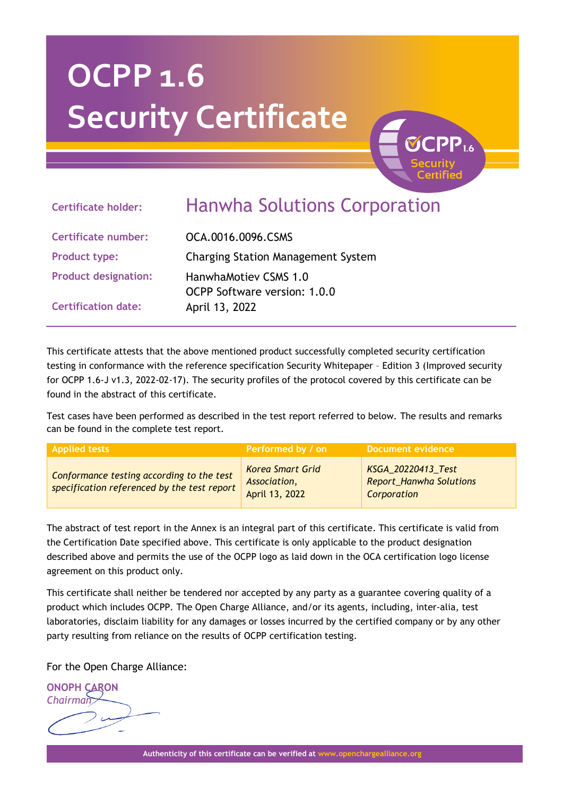# **OCPP 1.6 Security Certificate**

## **Certificate holder:** Hanwha Solutions Corporation

**Certificate number:** OCA.0016.0096.CSMS **Product type:** Charging Station Management System **Product designation:** HanwhaMotiev CSMS 1.0 OCPP Software version: 1.0.0 **Certification date:** April 13, 2022

This certificate attests that the above mentioned product successfully completed security certification testing in conformance with the reference specification Security Whitepaper – Edition 3 (Improved security for OCPP 1.6-J v1.3, 2022-02-17). The security profiles of the protocol covered by this certificate can be found in the abstract of this certificate.

Test cases have been performed as described in the test report referred to below. The results and remarks can be found in the complete test report.

| <b>Applied tests</b>                                                                     | Performed by / on                                         | Document evidence                                            |
|------------------------------------------------------------------------------------------|-----------------------------------------------------------|--------------------------------------------------------------|
| Conformance testing according to the test<br>specification referenced by the test report | <b>Korea Smart Grid</b><br>Association,<br>April 13, 2022 | KSGA_20220413_Test<br>Report_Hanwha Solutions<br>Corporation |

The abstract of test report in the Annex is an integral part of this certificate. This certificate is valid from the Certification Date specified above. This certificate is only applicable to the product designation described above and permits the use of the OCPP logo as laid down in the OCA certification logo license agreement on this product only.

This certificate shall neither be tendered nor accepted by any party as a guarantee covering quality of a product which includes OCPP. The Open Charge Alliance, and/or its agents, including, inter-alia, test laboratories, disclaim liability for any damages or losses incurred by the certified company or by any other party resulting from reliance on the results of OCPP certification testing.

For the Open Charge Alliance:

**ONOPH CARON** *Chairman*

**Authenticity of this certificate can be verified at www.openchargealliance.org**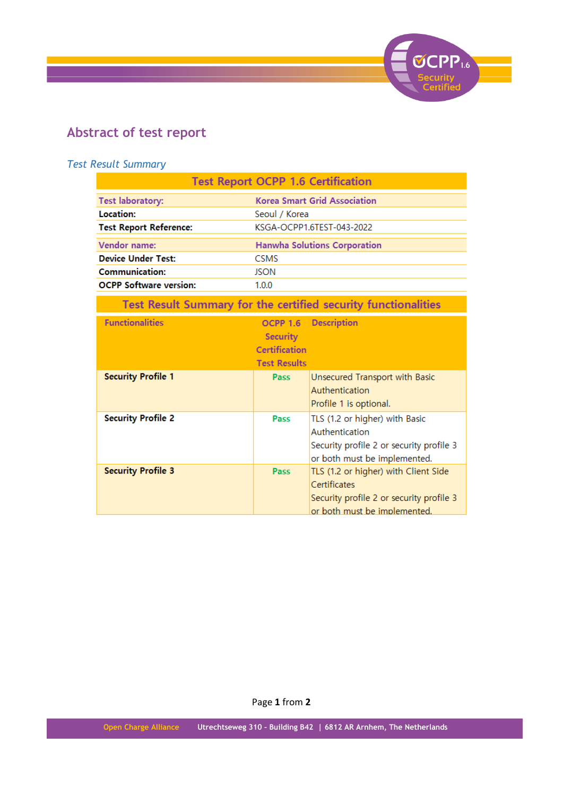

## **Abstract of test report**

### *Test Result Summary*

| <b>Test Report OCPP 1.6 Certification</b>                      |                                                                                   |                                                                                                                                  |  |  |  |
|----------------------------------------------------------------|-----------------------------------------------------------------------------------|----------------------------------------------------------------------------------------------------------------------------------|--|--|--|
| <b>Test laboratory:</b>                                        | <b>Korea Smart Grid Association</b>                                               |                                                                                                                                  |  |  |  |
| Location:                                                      | Seoul / Korea                                                                     |                                                                                                                                  |  |  |  |
| <b>Test Report Reference:</b>                                  | KSGA-OCPP1.6TEST-043-2022                                                         |                                                                                                                                  |  |  |  |
| Vendor name:                                                   | <b>Hanwha Solutions Corporation</b>                                               |                                                                                                                                  |  |  |  |
| <b>Device Under Test:</b>                                      | <b>CSMS</b>                                                                       |                                                                                                                                  |  |  |  |
| <b>Communication:</b>                                          | <b>JSON</b>                                                                       |                                                                                                                                  |  |  |  |
| <b>OCPP Software version:</b>                                  | 1.0.0                                                                             |                                                                                                                                  |  |  |  |
| Test Result Summary for the certified security functionalities |                                                                                   |                                                                                                                                  |  |  |  |
| <b>Functionalities</b>                                         | <b>OCPP 1.6</b><br><b>Security</b><br><b>Certification</b><br><b>Test Results</b> | <b>Description</b>                                                                                                               |  |  |  |
| <b>Security Profile 1</b>                                      | Pass                                                                              | Unsecured Transport with Basic<br>Authentication<br>Profile 1 is optional.                                                       |  |  |  |
| <b>Security Profile 2</b>                                      | Pass                                                                              | TLS (1.2 or higher) with Basic<br>Authentication<br>Security profile 2 or security profile 3<br>or both must be implemented.     |  |  |  |
| <b>Security Profile 3</b>                                      | Pass                                                                              | TLS (1.2 or higher) with Client Side<br>Certificates<br>Security profile 2 or security profile 3<br>or both must be implemented. |  |  |  |

Page **1** from **2**